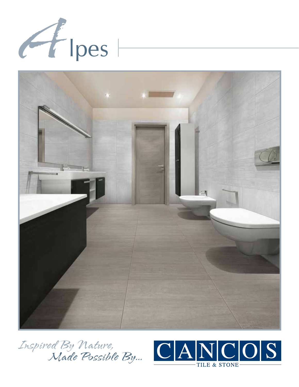



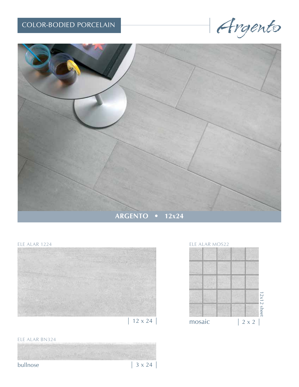COLOR-BODIED PORCELAIN **Argento** 



## ELE ALAR 1224







ELE ALAR BN324

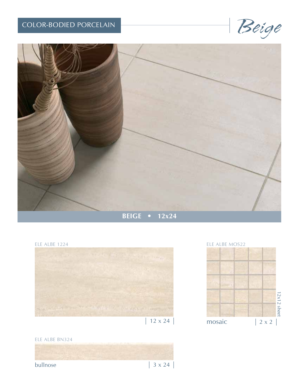



ELE ALBE 1224









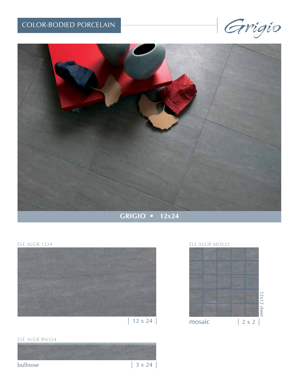



### ELE ALGR 1224



 $12 \times 24$ 

# ELE ALGR MOS22



ELE ALGR BN324

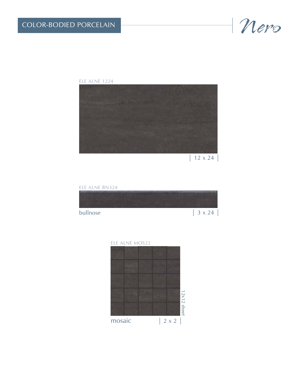



ELE ALNE BN324

| bullnose | $3 \times 24$ |  |
|----------|---------------|--|

ELE ALNE MOS22

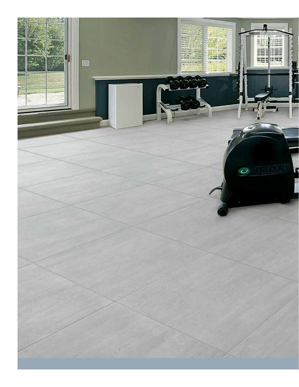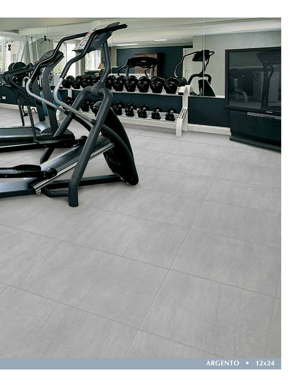